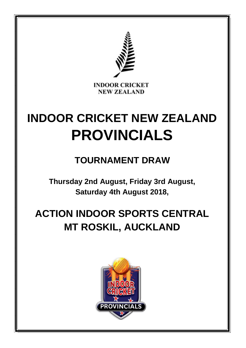

# **INDOOR CRICKET NEW ZEALAND PROVINCIALS**

## **TOURNAMENT DRAW**

**Thursday 2nd August, Friday 3rd August, Saturday 4th August 2018,**

# **ACTION INDOOR SPORTS CENTRAL MT ROSKIL, AUCKLAND**

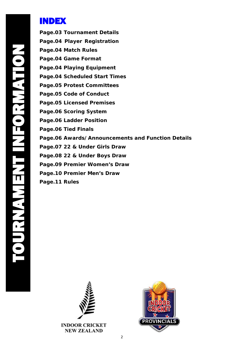## INDEX

**Page.03 Tournament Details Page.04 Player Registration Page.04 Match Rules Page.04 Game Format Page.04 Playing Equipment Page.04 Scheduled Start Times Page.05 Protest Committees Page.05 Code of Conduct Page.05 Licensed Premises Page.06 Scoring System Page.06 Ladder Position Page.06 Tied Finals Page.06 Awards/Announcements and Function Details Page.07 22 & Under Girls Draw Page.08 22 & Under Boys Draw Page.09 Premier Women's Draw Page.10 Premier Men's Draw Page.11 Rules**



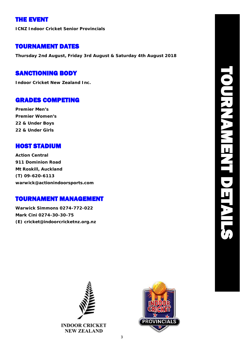## THE EVENT

**ICNZ Indoor Cricket Senior Provincials**

## TOURNAMENT DATES

**Thursday 2nd August, Friday 3rd August & Saturday 4th August 2018**

## SANCTIONING BODY

**Indoor Cricket New Zealand Inc.**

## GRADES COMPETING

**Premier Men's Premier Women's 22 & Under Boys 22 & Under Girls**

## HOST STADIUM

**Action Central 911 Dominion Road Mt Roskill, Auckland (T) 09-620-6113 [warwick@actionindoorsports.com](mailto:warwick@actionindoorsports.com)**

## TOURNAMENT MANAGEMENT

**Warwick Simmons 0274-772-022 Mark Cini 0274-30-30-75 (E) [cricket@indoorcricketnz.org.nz](mailto:cricket@indoorcricketnz.org.nz)**



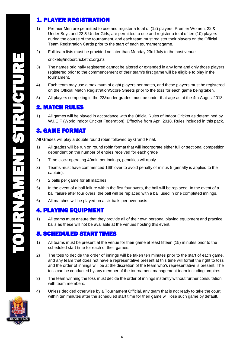## 1. PLAYER REGISTRATION

- 1) Premier Men are permitted to use and register a total of (12) players. Premier Women, 22 & Under Boys and 22 & Under Girls, are permitted to use and register a total of ten (10) players during the course of the tournament, and each team must register their players on the Official Team Registration Cards prior to the start of each tournament game.
- 2) Full team lists must be provided no later than Monday 23rd July to the host venue[:](mailto:cricket@indoorcricketnz.org.nz)

[cricket@indoorcricketnz.org.nz](mailto:cricket@indoorcricketnz.org.nz)

- 3) The names originally registered cannot be altered or extended in any form and only those players registered prior to the commencement of their team's first game will be eligible to play inthe tournament.
- 4) Each team may use a maximum of eight players per match, and these players must be registered on the Official Match Registration/Score Sheets prior to the toss for each game beingtaken.
- 5) All players competing in the 22&under grades must be under that age as at the 4th August 2018.

#### 2. MATCH RULES

1) All games will be played in accordance with the Official Rules of Indoor Cricket as determined by W.I.C.F (World Indoor Cricket Federation). Effective from April 2018. Rules included in this pack.

#### 3. GAME FORMAT

All Grades will play a double round robin followed by Grand Final.

- 1) All grades will be run on round robin format that will incorporate either full or sectional competition dependent on the number of entries received for each grade
- 2) Time clock operating 40min per innings, penalties willapply
- 3) Teams must have commenced 16th over to avoid penalty of minus 5 (penalty is applied to the captain).
- 4) 2 balls per game for all matches.
- 5) In the event of a ball failure within the first four overs, the ball will be replaced. In the event of a ball failure after four overs, the ball will be replaced with a ball used in one completed innings.
- 6) All matches will be played on a six balls per over basis.

#### 4. PLAYING EQUIPMENT

1) All teams must ensure that they provide all of their own personal playing equipment and practice balls as these will not be available at the venues hosting this event.

#### 5. SCHEDULED START TIMES

- 1) All teams must be present at the venue for their game at least fifteen (15) minutes prior to the scheduled start time for each of their games.
- 2) The toss to decide the order of innings will be taken ten minutes prior to the start of each game, and any team that does not have a representative present at this time will forfeit the right to toss and the order of innings will be at the discretion of the team who's representative is present. The toss can be conducted by any member of the tournament management team including umpires.
- 3) The team winning the toss must decide the order of innings instantly without further consultation with team members.
- 4) Unless decided otherwise by a Tournament Official, any team that is not ready to take the court within ten minutes after the scheduled start time for their game will lose such game by default.

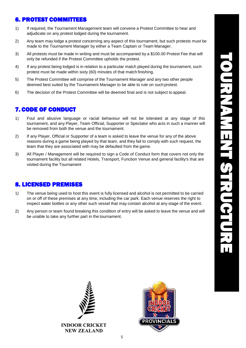### 6. PROTEST COMMITTEES

- 1) If required, the Tournament Management team will convene a Protest Committee to hear and adjudicate on any protest lodged during the tournament.
- 2) Any team may lodge a protest concerning any aspect of this tournament, but such protests must be made to the Tournament Manager by either a Team Captain or Team Manager.
- 3) All protests must be made in writing and must be accompanied by a \$100.00 Protest Fee that will only be refunded if the Protest Committee upholds the protest.
- 4) If any protest being lodged is in relation to a particular match played during the tournament, such protest must be made within sixty (60) minutes of that match finishing.
- 5) The Protest Committee will comprise of the Tournament Manager and any two other people deemed best suited by the Tournament Manager to be able to rule on such protest.
- 6) The decision of the Protest Committee will be deemed final and is not subject to appeal.

#### 7. CODE OF CONDUCT

- 1) Foul and abusive language or racial behaviour will not be tolerated at any stage of this tournament, and any Player, Team Official, Supporter or Spectator who acts in such a manner will be removed from both the venue and the tournament.
- 2) If any Player, Official or Supporter of a team is asked to leave the venue for any of the above reasons during a game being played by that team, and they fail to comply with such request, the team that they are associated with may be defaulted from the game.
- 3) All Player / Management will be required to sign a Code of Conduct form that covers not only the tournament facility but all related Hotels, Transport, Function Venue and general facility's that are visited during the Tournament

#### 8. LICENSED PREMISES

- 1) The venue being used to host this event is fully licensed and alcohol is not permitted to be carried on or off of these premises at any time, including the car park. Each venue reserves the right to inspect water bottles or any other such vessel that may contain alcohol at any stage of the event.
- 2) Any person or team found breaking this condition of entry will be asked to leave the venue and will be unable to take any further part in the tournament.



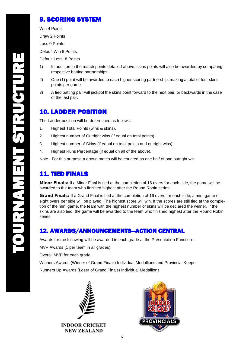## 9. SCORING SYSTEM

Win 4 Points

Draw 2 Points

Loss 0 Points

Default Win 8 Points

Default Loss -8 Points

- 1) In addition to the match points detailed above, skins points will also be awarded by comparing respective batting partnerships.
- 2) One (1) point will be awarded to each higher scoring partnership, making a total of four skins points per game.
- 3) A tied batting pair will jackpot the skins point forward to the next pair, or backwards in the case of the last pair.

### 10. LADDER POSITION

The Ladder position will be determined as follows:

- 1. Highest Total Points (wins & skins).
- 2. Highest number of Outright wins (if equal on total points).
- 3. Highest number of Skins (if equal on total points and outright wins).
- 4. Highest Runs Percentage (if equal on all of the above).

Note - For this purpose a drawn match will be counted as one half of one outright win.

## 11. TIED FINALS

Minor Finals: If a Minor Final is tied at the completion of 16 overs for each side, the game will be awarded to the team who finished highest after the Round Robin series.

Grand Finals: If a Grand Final is tied at the completion of 16 overs for each side, a mini-game of eight overs per side will be played. The highest score will win. If the scores are still tied at the completion of the mini game, the team with the highest number of skins will be declared the winner. If the skins are also tied, the game will be awarded to the team who finished highest after the Round Robin series.

#### 12. AWARDS/ANNOUNCEMENTS—ACTION CENTRAL

Awards for the following will be awarded in each grade at the Presentation Function…

MVP Awards (1 per team in all grades)

Overall MVP for each grade

Winners Awards (Winner of Grand Finals) Individual Medallions and Provincial Keeper

Runners Up Awards (Loser of Grand Finals) Individual Medallions



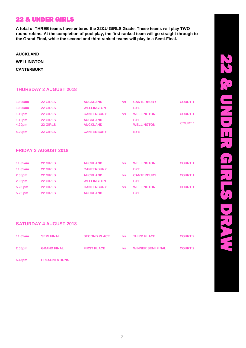## 22 & UNDER GIRLS

**A total of THREE teams have entered the 22&U GIRLS Grade. These teams will play TWO round robins. At the completion of pool play, the first ranked team will go straight through to the Grand Final, while the second and third ranked teams will play in a Semi-Final.**

**AUCKLAND** 

**WELLINGTON** 

**CANTERBURY**

#### **THURSDAY 2 AUGUST 2018**

| 10.00am            | <b>22 GIRLS</b> | <b>AUCKLAND</b>   | <b>VS</b> | <b>CANTERBURY</b> | <b>COURT 1</b> |  |
|--------------------|-----------------|-------------------|-----------|-------------------|----------------|--|
| 10.00am            | <b>22 GIRLS</b> | <b>WELLINGTON</b> |           | <b>BYE</b>        |                |  |
| 1.10 <sub>pm</sub> | <b>22 GIRLS</b> | <b>CANTERBURY</b> | <b>VS</b> | <b>WELLINGTON</b> | <b>COURT 1</b> |  |
| 1.10 <sub>pm</sub> | <b>22 GIRLS</b> | <b>AUCKLAND</b>   |           | <b>BYE</b>        |                |  |
| 4.20pm             | <b>22 GIRLS</b> | <b>AUCKLAND</b>   |           | <b>WELLINGTON</b> | <b>COURT 1</b> |  |
| 4.20pm             | <b>22 GIRLS</b> | <b>CANTERBURY</b> |           | <b>BYE</b>        |                |  |

#### **FRIDAY 3 AUGUST 2018**

| 11.05am | <b>22 GIRLS</b> | <b>AUCKLAND</b>   | <b>VS</b> | <b>WELLINGTON</b> | <b>COURT 1</b> |
|---------|-----------------|-------------------|-----------|-------------------|----------------|
| 11.05am | <b>22 GIRLS</b> | <b>CANTERBURY</b> |           | <b>BYE</b>        |                |
| 2.05pm  | <b>22 GIRLS</b> | <b>AUCKLAND</b>   | <b>VS</b> | <b>CANTERBURY</b> | <b>COURT 1</b> |
| 2.05pm  | <b>22 GIRLS</b> | <b>WELLINGTON</b> |           | <b>BYE</b>        |                |
| 5.25 pm | <b>22 GIRLS</b> | <b>CANTERBURY</b> | <b>VS</b> | <b>WELLINGTON</b> | <b>COURT 1</b> |
| 5.25 pm | <b>22 GIRLS</b> | <b>AUCKLAND</b>   |           | <b>BYE</b>        |                |

#### **SATURDAY 4 AUGUST 2018**

| 11.05am            | <b>SEMI FINAL</b>    | SECOND PLACE VS THIRD PLACE            |  | <b>COURT 2</b> |
|--------------------|----------------------|----------------------------------------|--|----------------|
| 2.05 <sub>pm</sub> | <b>GRAND FINAL</b>   | FIRST PLACE This ISS WINNER SEMI FINAL |  | <b>COURT 2</b> |
| 5.45pm             | <b>PRESENTATIONS</b> |                                        |  |                |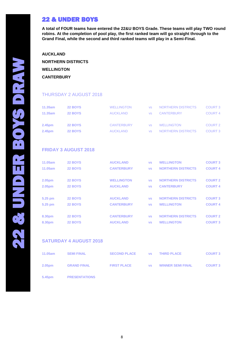**A total of FOUR teams have entered the 22&U BOYS Grade. These teams will play TWO round robins. At the completion of pool play, the first ranked team will go straight through to the Grand Final, while the second and third ranked teams will play in a Semi-Final.**

**AUCKLAND NORTHERN DISTRICTS WELLINGTON CANTERBURY**

#### THURSDAY 2 AUGUST 2018

| 11.35am | <b>22 BOYS</b> | <b>WELLINGTON</b> |     | NORTHERN DISTRICTS | <b>COURT 3</b>     |
|---------|----------------|-------------------|-----|--------------------|--------------------|
| 11.35am | <b>22 BOYS</b> | <b>AUCKLAND</b>   |     | <b>CANTERBURY</b>  | COURT <sub>4</sub> |
| 2.45pm  | <b>22 BOYS</b> | <b>CANTERBURY</b> | VS. | <b>WELLINGTON</b>  | COURT <sub>2</sub> |
| 2.45pm  | <b>22 BOYS</b> | <b>AUCKLAND</b>   |     | NORTHERN DISTRICTS | COURT <sub>3</sub> |

#### **FRIDAY 3 AUGUST 2018**

| <b>22 BOYS</b> | <b>AUCKLAND</b>   | <b>VS</b> | <b>WELLINGTON</b>         | <b>COURT 3</b> |
|----------------|-------------------|-----------|---------------------------|----------------|
| <b>22 BOYS</b> | <b>CANTERBURY</b> | <b>VS</b> | <b>NORTHERN DISTRICTS</b> | <b>COURT 4</b> |
|                |                   |           |                           |                |
| 22 BOYS        | <b>WELLINGTON</b> | <b>VS</b> | <b>NORTHERN DISTRICTS</b> | <b>COURT 2</b> |
| 22 BOYS        | <b>AUCKLAND</b>   | <b>VS</b> | <b>CANTERBURY</b>         | <b>COURT 4</b> |
|                |                   |           |                           |                |
| <b>22 BOYS</b> | <b>AUCKLAND</b>   | <b>VS</b> | <b>NORTHERN DISTRICTS</b> | <b>COURT 3</b> |
| <b>22 BOYS</b> | <b>CANTERBURY</b> | <b>VS</b> | <b>WELLINGTON</b>         | <b>COURT 4</b> |
|                |                   |           |                           |                |
| 22 BOYS        | <b>CANTERBURY</b> | <b>VS</b> | <b>NORTHERN DISTRICTS</b> | <b>COURT 2</b> |
| <b>22 BOYS</b> | <b>AUCKLAND</b>   | <b>VS</b> | <b>WELLINGTON</b>         | <b>COURT 3</b> |
|                |                   |           |                           |                |

#### **SATURDAY 4 AUGUST 2018**

| 11.05am | <b>SEMI FINAL</b>    | <b>SECOND PLACE</b> | <b>VS</b> | <b>THIRD PLACE</b>       | <b>COURT 3</b> |
|---------|----------------------|---------------------|-----------|--------------------------|----------------|
| 2.05pm  | <b>GRAND FINAL</b>   | <b>FIRST PLACE</b>  | <b>VS</b> | <b>WINNER SEMI FINAL</b> | <b>COURT 3</b> |
| 5.45pm  | <b>PRESENTATIONS</b> |                     |           |                          |                |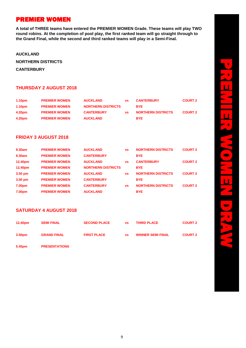## PREMIER WOMEN

**A total of THREE teams have entered the PREMIER WOMEN Grade. These teams will play TWO round robins. At the completion of pool play, the first ranked team will go straight through to the Grand Final, while the second and third ranked teams will play in a Semi-Final.**

**AUCKLAND** 

**NORTHERN DISTRICTS** 

**CANTERBURY**

#### **THURSDAY 2 AUGUST 2018**

| 1.10 <sub>pm</sub> | <b>PREMIER WOMEN</b> | <b>AUCKLAND</b>           | <b>VS</b> | <b>CANTERBURY</b>         | <b>COURT 2</b> |
|--------------------|----------------------|---------------------------|-----------|---------------------------|----------------|
| 1.10 <sub>pm</sub> | <b>PREMIER WOMEN</b> | <b>NORTHERN DISTRICTS</b> |           | <b>BYE</b>                |                |
| 4.20pm             | <b>PREMIER WOMEN</b> | <b>CANTERBURY</b>         | <b>VS</b> | <b>NORTHERN DISTRICTS</b> | <b>COURT 2</b> |
| 4.20pm             | <b>PREMIER WOMEN</b> | <b>AUCKLAND</b>           |           | <b>BYE</b>                |                |

#### **FRIDAY 3 AUGUST 2018**

| 9.30am    | <b>PREMIER WOMEN</b> | <b>AUCKLAND</b>           | <b>VS</b> | <b>NORTHERN DISTRICTS</b> | <b>COURT 2</b> |
|-----------|----------------------|---------------------------|-----------|---------------------------|----------------|
| 9.30am    | <b>PREMIER WOMEN</b> | <b>CANTERBURY</b>         |           | <b>BYE</b>                |                |
| 12.40pm   | <b>PREMIER WOMEN</b> | <b>AUCKLAND</b>           | <b>VS</b> | <b>CANTERBURY</b>         | <b>COURT 2</b> |
| 12.40pm   | <b>PREMIER WOMEN</b> | <b>NORTHERN DISTRICTS</b> |           | <b>BYE</b>                |                |
| $3.50$ pm | <b>PREMIER WOMEN</b> | <b>AUCKLAND</b>           | <b>VS</b> | <b>NORTHERN DISTRICTS</b> | <b>COURT 2</b> |
| $3.50$ pm | <b>PREMIER WOMEN</b> | <b>CANTERBURY</b>         |           | <b>BYE</b>                |                |
| 7.00pm    | <b>PREMIER WOMEN</b> | <b>CANTERBURY</b>         | <b>VS</b> | <b>NORTHERN DISTRICTS</b> | <b>COURT 2</b> |
| 7.00pm    | <b>PREMIER WOMEN</b> | <b>AUCKLAND</b>           |           | <b>BYE</b>                |                |

#### **SATURDAY 4 AUGUST 2018**

| 12.40pm            | <b>SEMI FINAL</b>  | <b>SECOND PLACE</b> | <b>VS</b> | <b>THIRD PLACE</b>       | <b>COURT 2</b> |
|--------------------|--------------------|---------------------|-----------|--------------------------|----------------|
| 3.50 <sub>pm</sub> | <b>GRAND FINAL</b> | <b>FIRST PLACE</b>  | VS.       | <b>WINNER SEMI FINAL</b> | <b>COURT 2</b> |

**5.45pm PRESENTATIONS**